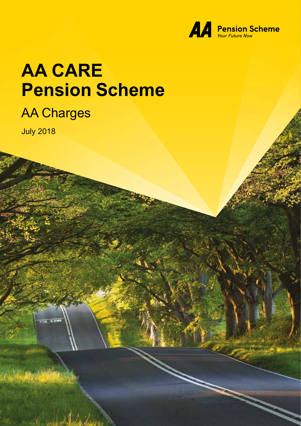

# **AA CARE Pension Scheme**

### AA Charges

July 2018

**UW**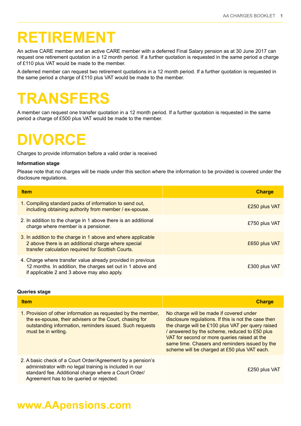### **RETIREMENT**

An active CARE member and an active CARE member with a deferred Final Salary pension as at 30 June 2017 can request one retirement quotation in a 12 month period. If a further quotation is requested in the same period a charge of £110 plus VAT would be made to the member.

A deferred member can request two retirement quotations in a 12 month period. If a further quotation is requested in the same period a charge of £110 plus VAT would be made to the member.

## **TRANSFERS**

A member can request one transfer quotation in a 12 month period. If a further quotation is requested in the same period a charge of £500 plus VAT would be made to the member.

### **DIVORCE**

Charges to provide information before a valid order is received

#### **Information stage**

Please note that no charges will be made under this section where the information to be provided is covered under the disclosure regulations.

| <b>Item</b>                                                                                                                                                               | <b>Charge</b> |
|---------------------------------------------------------------------------------------------------------------------------------------------------------------------------|---------------|
| 1. Compiling standard packs of information to send out,<br>including obtaining authority from member / ex-spouse.                                                         | £250 plus VAT |
| 2. In addition to the charge in 1 above there is an additional<br>charge where member is a pensioner.                                                                     | £750 plus VAT |
| 3. In addition to the charge in 1 above and where applicable<br>2 above there is an additional charge where special<br>transfer calculation required for Scottish Courts. | £650 plus VAT |
| 4. Charge where transfer value already provided in previous<br>12 months. In addition, the charges set out in 1 above and<br>if applicable 2 and 3 above may also apply.  | £300 plus VAT |

#### **Queries stage**

| <b>Charge</b>                                                                                                                                                                                                                                                                                                                                           |
|---------------------------------------------------------------------------------------------------------------------------------------------------------------------------------------------------------------------------------------------------------------------------------------------------------------------------------------------------------|
| No charge will be made if covered under<br>disclosure regulations. If this is not the case then<br>the charge will be £100 plus VAT per query raised<br>/ answered by the scheme, reduced to £50 plus<br>VAT for second or more queries raised at the<br>same time. Chasers and reminders issued by the<br>scheme will be charged at £50 plus VAT each. |
| £250 plus VAT                                                                                                                                                                                                                                                                                                                                           |
|                                                                                                                                                                                                                                                                                                                                                         |

### **www.AApensions.com**